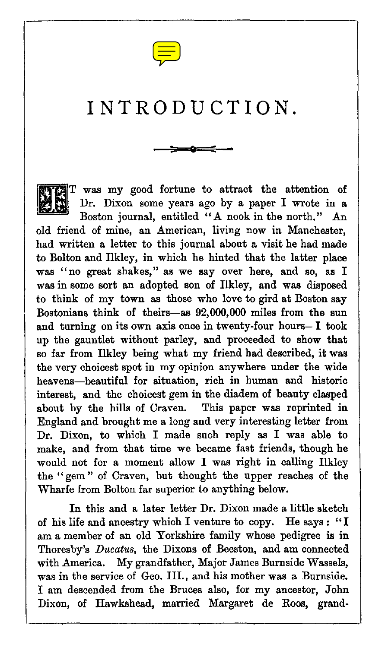

# INTRODUCTION.



T was my good fortune to attract the attention of Dr. Dixon some years ago by a paper I wrote in a Boston journal, entitled "A nook in the north." An old friend of mine, an American, living now in Manchester, had written a letter to this journal about a visit he had made to Bolton and Ilkley, in which he hinted that the latter place was "no great shakes," as we say over here, and so, as I was in some sort an adopted son of Ilkley, and was disposed to think of my town as those who love to gird at Boston say Bostonians think of theirs—as 92,000,000 miles from the sun and turning on its own axis once in twenty-four hours— I took up the gauntlet without parley, and proceeded to show that so far from Ilkley being what my friend bad described, it was the very choicest spot in my opinion anywhere under the wide heavens—beautiful for situation, rich in human and historic interest, and the choicest gem in the diadem of beauty clasped about by the hills of Craven. This paper was reprinted in England and brought me a long and very interesting letter from Dr. Dixon, to which I made such reply as I was able to make, and from that time we became fast friends, though he would not for a moment allow I was right in calling Ilkley the " gem " of Craven, but thought the upper reaches of the Wharfe from Bolton far superior to anything below.

In this and a later letter Dr. Dixon made a little sketch of his life and ancestry which I venture to copy. He says : "I am a member of an old Yorkshire family whose pedigree is in Thoresby's *Ducatus,* the Dixons of Beeston, and am connected with America. My grandfather, Major James Burnside Wassels, was in the service of Geo. III., and his mother was a Burnside. I am descended from the Bruces also, for my ancestor, John Dixon, of Hawkshead, married Margaret de Roos, grand-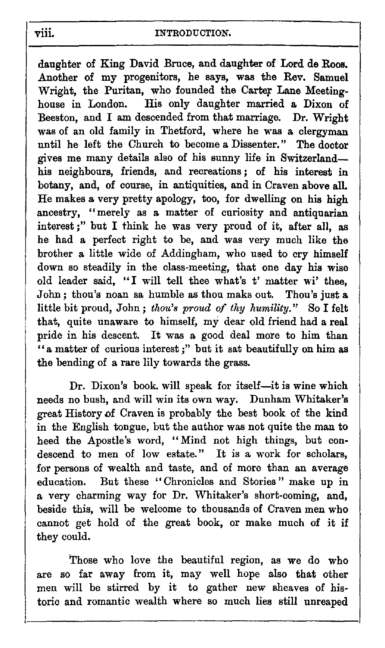viii. INTRODUCTION.<br>
daughter of King David Bruce, and da daughter of King David Bruce, and daughter of Lord de Roos. Another of my progenitors, he says, was the Rev. Samuel Wright, the Puritan, who founded the Carter Lane Meetinghouse in London. His only daughter married a Dixon of Beeston, and I am descended from that marriage. Dr. Wright was of an old family in Thetford, where he was a clergyman until he left the Church to become a Dissenter." The doctor gives me many details also of his sunny life in Switzerland his neighbours, friends, and recreations ; of his interest in botany, and, of course, in antiquities, and in Craven above all. He makes a very pretty apology, too, for dwelling on his high ancestry, "merely as a matter of curiosity and antiquarian interest ;" but I think he was very proud of it, after all, as he had a perfect right to be, and was very much like the brother a little wide of Addingham, who used to cry himself down so steadily in the class-meeting, that one day his wise old leader said, "I will tell thee what's t' matter wi' thee, John ; thou's noan sa humble as thou maks out. Thou's just a little bit proud, John ; *thou's proud of thy humility."* So I felt that, quite unaware to himself, my dear old friend had a real pride in his descent. It was a good deal more to him than "a matter of curious interest ;" but it sat beautifully on him as the bending of a rare lily towards the grass.

Dr. Dixon's book, will speak for itself—it is wine which needs no bush, and will win its own way. Dunham Whitaker's great History of Craven is probably the best book of the kind in the English tongue, but the author was not quite the man to heed the Apostle's word, "Mind not high things, but condescend to men of low estate." It is a work for scholars, for persons of wealth and taste, and of more than an average education. But these "Chronicles and Stories" make up in a very charming way for Dr. Whitaker's short-coming, and, beside this, will be welcome to thousands of Craven men who cannot get hold of the great book, or make much of it if they could.

Those who love the beautiful region, as we do who are so far away from it, may well hope also that other men will be stirred by it to gather new sheaves of historic and romantic wealth where so much lies still unreaped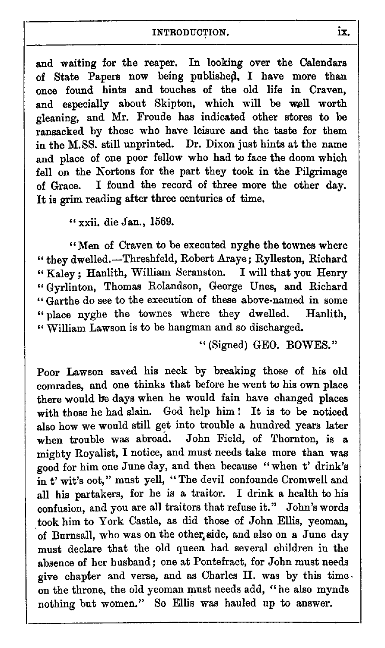## INTRODUCTION. **ix.**

and waiting for the reaper. In looking over the Calendars of State Papers now being published, I have more than once found hints and touches of the old life in Craven, and especially about Skipton, which will be well worth gleaning, and Mr. Froude has indicated other stores to be ransacked by those who have leisure and the taste for them in the M.SS. still unprinted. Dr. Dixon just hints at the name and place of one poor fellow who had to face the doom which fell on the Nortons for the part they took in the Pilgrimage of Grace. I found the record of three more the other day. It is grim reading after three centuries of time.

" xxii. die Jan., 1569.

"Men of Craven to be executed nyghe the townes where " they dwelled.—Threshfeld, Robert Araye; Rylleston, Richard " Kaley ; Hanlith, William Scranston. I will that you Henry " Gyrlinton, Thomas Rolandson, George Unes, and Richard " Garthe do see to the execution of these above-named in some " place nyghe the townes where they dwelled. Hanlith, " William Lawson is to be hangman and so discharged.

" (Signed) GEO. BOWES."

Poor Lawson saved his neck by breaking those of his old comrades, and one thinks that before he went to his own place there would be days when he would fain have changed places with those he had slain. God help him ! It is to be noticed also how we would still get into trouble a hundred years later<br>when trouble was abroad. John Field, of Thornton, is a John Field, of Thornton, is a mighty Royalist, I notice, and must needs take more than was good for him one June day, and then because "when t' drink's in t' wit's oot," must yell, "The devil confounde Cromwell and all his partakers, for he is a traitor. I drink a health to his confusion, and you are all traitors that refuse it." John's words took him to York Castle, as did those of John Ellis, yeoman, of Burnsall, who was on the other side, and also on a June day must declare that the old queen had several children in the absence of her husband; one at Pontefract, for John must needs give chapter and verse, and as Charles II. was by this time • on the throne, the old yeoman must needs add, " he also mynds nothing but women." So Ellis was hauled up to answer.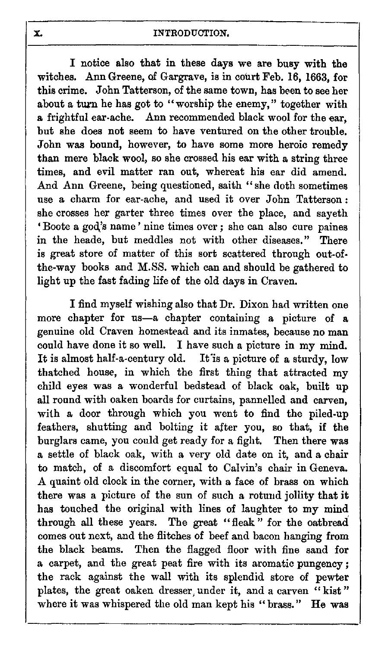X. INTRODUCTION. I notice also that in these days we are busy with the witches. Ann Greene, of Gargrave, is in court Feb. 16, 1663, for this crime. John Tatterson, of the same town, has been to see her about a turn he has got to "worship the enemy," together with a frightful ear-ache. Ann recommended black wool for the ear, but she does not seem to have ventured on the other trouble. John was bound, however, to have some more heroic remedy than mere black wool, so she crossed his ear with a string three times, and evil matter ran out, whereat his ear did amend. And Ann Greene, being questioned, saith "she doth sometimes use a charm for ear-ache, and used it over John Tatterson : she crosses her garter three times over the place, and sayeth Boote a god's name' nine times over ; she can also cure paines in the heade, but meddles not with other diseases." There is great store of matter of this sort scattered through out-ofthe-way books and M.SS. which can and should be gathered to light up the fast fading life of the old days in Craven.

I find myself wishing also that Dr. Dixon had written one more chapter for us—a chapter containing a picture of a genuine old Craven homestead and its inmates, because no man could have done it so well. I have such a picture in my mind.<br>It is almost half-a-century old. It is a picture of a sturdy, low It is a picture of a sturdy, low. thatched house, in which the first thing that attracted my child eyes was a wonderful bedstead of black oak, built up all round with oaken boards for curtains, pannelled and carven, with a door through which you went to find the piled-up feathers, shutting and bolting it after you, so that, if the burglars came, you could get ready for a fight. Then there was a settle of black oak, with a very old date on it, and a chair to match, of a discomfort equal to Calvin's chair in Geneva. A quaint old clock in the corner, with a face of brass on which there was a picture of the sun of such a rotund jollity that it has touched the original with lines of laughter to my mind through all these years. The great "fleak" for the oatbread comes out next, and the flitches of beef and bacon hanging from the black beams. Then the flagged floor with fine sand for a carpet, and the great peat fire with its aromatic pungency ; the rack against the wall with its splendid store of pewter plates, the great oaken dresser, under it, and a carven " kist " where it was whispered the old man kept his "brass." He was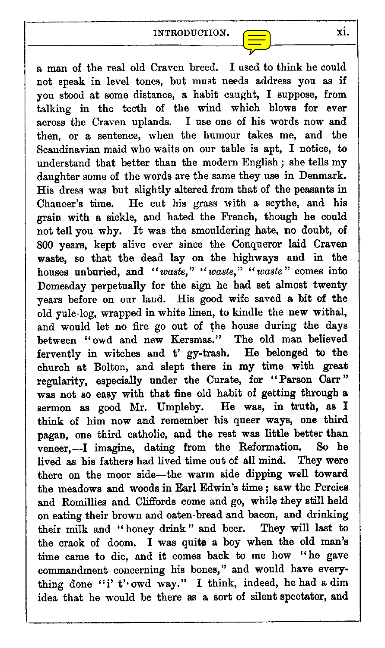

INTRODUCTION.  $\begin{array}{|c|c|c|}\n\hline\n\hline\n\end{array}$ a man of the real old Craven breed. I used to think he could not speak in level tones, but must needs address you as if you stood at some distance, a habit caught, I suppose, from talking in the teeth of the wind which blows for ever across the Craven uplands. I use one of his words now and then, or a sentence, when the humour takes me, and the Scandinavian maid who waits on our table is apt, I notice, to understand that better than the modern English ; she tells my daughter some of the words are the same they use in Denmark. His dress was but slightly altered from that of the peasants in Chaucer's time. He cut his grass with a scythe, and his grain with a sickle, and hated the French, though he could not tell you why. It was the smouldering hate, no doubt, of 800 years, kept alive ever since the Conqueror laid Craven waste, so that the dead lay on the highways and in the houses unburied, and *"waste," "waste," "waste"* comes into Domesday perpetually for the sign he had set almost twenty years before on our land. His good wife saved a bit of the old yule-log, wrapped in white linen, to kindle the new withal, and would let no fire go out of the house during the days between "owd and new Kersmas." The old man believed fervently in witches and t' gy-trash. He belonged to the church at Bolton, and slept there in my time with great regularity, especially under the Curate, for "Parson Carr" was not so easy with that fine old habit of getting through a sermon as good Mr. Umpleby. He was, in truth, as I think of him now and remember his queer ways, one third pagan, one third catholic, and the rest was little better than veneer,—I imagine, dating from the Reformation. So he lived as his fathers had lived time out of all mind. They were there on the moor side—the warm side dipping well toward the meadows and woods in Earl Edwin's time ; saw the Percies and Romillies and Cliffords come and go, while they still held on eating their brown and oaten-bread and bacon, and drinking their milk and "honey drink" and beer. They will last to the crack of doom. I was quite a boy when the old man's time came to die, and it comes back to me how "he gave commandment concerning his bones," and would have everything done "i' t' owd way." I think, indeed, he had a dim idea that he would be there as a sort of silent spectator, and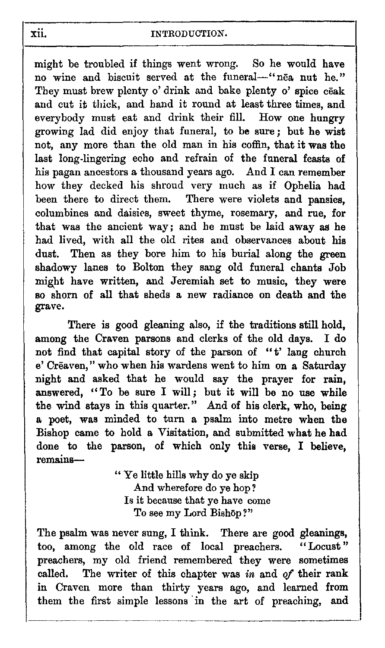might be troubled if things went wrong. So he would have no wine and biscuit served at the funeral—"nea nut he." They must brew plenty o' drink and bake plenty o' spice ceak and cut it thick, and hand it round at least three times, and everybody must eat and drink their fill. How one hungry growing lad did enjoy that funeral, to be sure ; but he wist not, any more than the old man in his coffin, that it was the last long-lingering echo and refrain of the funeral feasts of his pagan ancestors a thousand years ago. And I can remember how they decked his shroud very much as if Ophelia had been there to direct them. There were violets and pansies, columbines and daisies, sweet thyme, rosemary, and rue, for that was the ancient way; and he must be laid away as he had lived, with all the old rites and observances about his dust. Then as they bore him to his burial along the green shadowy lanes to Bolton they sang old funeral chants Job might have written, and Jeremiah set to music, they were so shorn of all that sheds a new radiance on death and the grave.

There is good gleaning also, if the traditions still hold, among the Craven parsons and clerks of the old days. I do not find that capital story of the parson of "t' lang church e' Crêaven," who when his wardens went to him on a Saturday night and asked that he would say the prayer for rain, answered, "To be sure I will; but it will be no use while the wind stays in this quarter." And of his clerk, who, being a poet, was minded to turn a psalm into metre when the Bishop came to hold a Visitation, and submitted what he had done to the parson, of which only this verse, I believe, remains-

> " Ye little hills why do ye skip And wherefore do ye hop? Is it because that ye have come To see my Lord Bishop?"

The psalm was never sung, I think. There are good gleanings, too. among the old race of local preachers. "Locust" too, among the old race of local preachers. preachers, my old friend remembered they were sometimes called. The writer of this chapter was *in* and *of* their rank in Craven more than thirty years ago, and learned from them the first simple lessons in the art of preaching, and